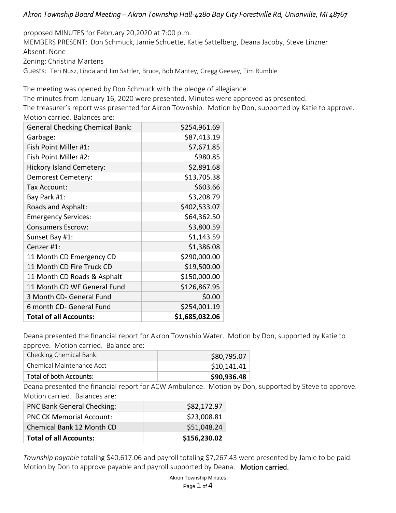# *Akron Township Board Meeting – Akron Township Hall-4280 Bay City Forestville Rd, Unionville, MI 48767*

proposed MINUTES for February 20,2020 at 7:00 p.m.

MEMBERS PRESENT: Don Schmuck, Jamie Schuette, Katie Sattelberg, Deana Jacoby, Steve Linzner Absent: None

Zoning: Christina Martens

Guests: Teri Nusz, Linda and Jim Sattler, Bruce, Bob Mantey, Gregg Geesey, Tim Rumble

The meeting was opened by Don Schmuck with the pledge of allegiance.

The minutes from January 16, 2020 were presented. Minutes were approved as presented.

The treasurer's report was presented for Akron Township. Motion by Don, supported by Katie to approve. Motion carried. Balances are:

| <b>General Checking Chemical Bank:</b> | \$254,961.69   |
|----------------------------------------|----------------|
| Garbage:                               | \$87,413.19    |
| Fish Point Miller #1:                  | \$7,671.85     |
| Fish Point Miller #2:                  | \$980.85       |
| <b>Hickory Island Cemetery:</b>        | \$2,891.68     |
| Demorest Cemetery:                     | \$13,705.38    |
| Tax Account:                           | \$603.66       |
| Bay Park #1:                           | \$3,208.79     |
| Roads and Asphalt:                     | \$402,533.07   |
| <b>Emergency Services:</b>             | \$64,362.50    |
| <b>Consumers Escrow:</b>               | \$3,800.59     |
| Sunset Bay #1:                         | \$1,143.59     |
| Cenzer #1:                             | \$1,386.08     |
| 11 Month CD Emergency CD               | \$290,000.00   |
| 11 Month CD Fire Truck CD              | \$19,500.00    |
| 11 Month CD Roads & Asphalt            | \$150,000.00   |
| 11 Month CD WF General Fund            | \$126,867.95   |
| 3 Month CD- General Fund               | \$0.00         |
| 6 month CD- General Fund               | \$254,001.19   |
| <b>Total of all Accounts:</b>          | \$1,685,032.06 |

Deana presented the financial report for Akron Township Water. Motion by Don, supported by Katie to approve. Motion carried. Balance are:

| Checking Chemical Bank:   | \$80,795.07 |
|---------------------------|-------------|
| Chemical Maintenance Acct | \$10,141.41 |
| Total of both Accounts:   | \$90,936.48 |

Deana presented the financial report for ACW Ambulance. Motion by Don, supported by Steve to approve. Motion carried. Balances are:

| <b>PNC Bank General Checking:</b> | \$82,172.97  |
|-----------------------------------|--------------|
| <b>PNC CK Memorial Account:</b>   | \$23,008.81  |
| Chemical Bank 12 Month CD         | \$51,048.24  |
| <b>Total of all Accounts:</b>     | \$156,230.02 |

*Township payable* totaling \$40,617.06 and payroll totaling \$7,267.43 were presented by Jamie to be paid. Motion by Don to approve payable and payroll supported by Deana. Motion carried.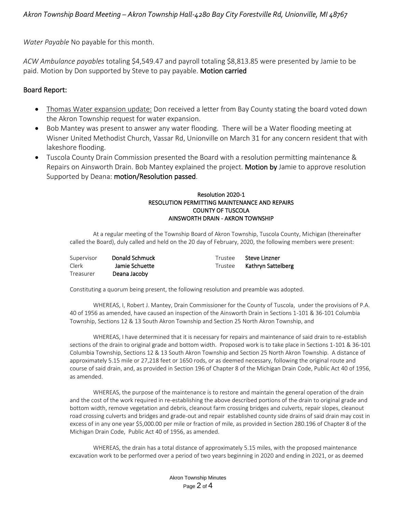*Water Payable* No payable for this month.

*ACW Ambulance payables* totaling \$4,549.47 and payroll totaling \$8,813.85 were presented by Jamie to be paid. Motion by Don supported by Steve to pay payable. Motion carried

### Board Report:

- Thomas Water expansion update: Don received a letter from Bay County stating the board voted down the Akron Township request for water expansion.
- Bob Mantey was present to answer any water flooding. There will be a Water flooding meeting at Wisner United Methodist Church, Vassar Rd, Unionville on March 31 for any concern resident that with lakeshore flooding.
- Tuscola County Drain Commission presented the Board with a resolution permitting maintenance & Repairs on Ainsworth Drain. Bob Mantey explained the project. Motion by Jamie to approve resolution Supported by Deana: motion/Resolution passed.

#### Resolution 2020-1 RESOLUTION PERMITTING MAINTENANCE AND REPAIRS COUNTY OF TUSCOLA AINSWORTH DRAIN - AKRON TOWNSHIP

At a regular meeting of the Township Board of Akron Township, Tuscola County, Michigan (thereinafter called the Board), duly called and held on the 20 day of February, 2020, the following members were present:

| Supervisor | Donald Schmuck | Trustee | Steve Linzner      |
|------------|----------------|---------|--------------------|
| Clerk      | Jamie Schuette | Trustee | Kathryn Sattelberg |
| Treasurer  | Deana Jacoby   |         |                    |

Constituting a quorum being present, the following resolution and preamble was adopted.

WHEREAS, I, Robert J. Mantey, Drain Commissioner for the County of Tuscola, under the provisions of P.A. 40 of 1956 as amended, have caused an inspection of the Ainsworth Drain in Sections 1-101 & 36-101 Columbia Township, Sections 12 & 13 South Akron Township and Section 25 North Akron Township, and

WHEREAS, I have determined that it is necessary for repairs and maintenance of said drain to re-establish sections of the drain to original grade and bottom width. Proposed work is to take place in Sections 1-101 & 36-101 Columbia Township, Sections 12 & 13 South Akron Township and Section 25 North Akron Township. A distance of approximately 5.15 mile or 27,218 feet or 1650 rods, or as deemed necessary, following the original route and course of said drain, and, as provided in Section 196 of Chapter 8 of the Michigan Drain Code, Public Act 40 of 1956, as amended.

WHEREAS, the purpose of the maintenance is to restore and maintain the general operation of the drain and the cost of the work required in re-establishing the above described portions of the drain to original grade and bottom width, remove vegetation and debris, cleanout farm crossing bridges and culverts, repair slopes, cleanout road crossing culverts and bridges and grade-out and repair established county side drains of said drain may cost in excess of in any one year \$5,000.00 per mile or fraction of mile, as provided in Section 280.196 of Chapter 8 of the Michigan Drain Code, Public Act 40 of 1956, as amended.

WHEREAS, the drain has a total distance of approximately 5.15 miles, with the proposed maintenance excavation work to be performed over a period of two years beginning in 2020 and ending in 2021, or as deemed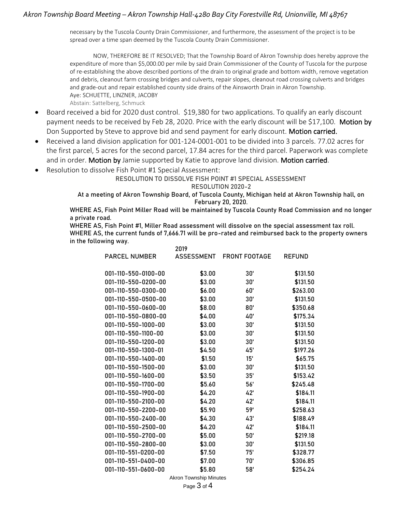## *Akron Township Board Meeting – Akron Township Hall-4280 Bay City Forestville Rd, Unionville, MI 48767*

necessary by the Tuscola County Drain Commissioner, and furthermore, the assessment of the project is to be spread over a time span deemed by the Tuscola County Drain Commissioner.

NOW, THEREFORE BE IT RESOLVED; That the Township Board of Akron Township does hereby approve the expenditure of more than \$5,000.00 per mile by said Drain Commissioner of the County of Tuscola for the purpose of re-establishing the above described portions of the drain to original grade and bottom width, remove vegetation and debris, cleanout farm crossing bridges and culverts, repair slopes, cleanout road crossing culverts and bridges and grade-out and repair established county side drains of the Ainsworth Drain in Akron Township. Aye: SCHUETTE, LINZNER, JACOBY

Abstain: Sattelberg, Schmuck

- Board received a bid for 2020 dust control. \$19,380 for two applications. To qualify an early discount payment needs to be received by Feb 28, 2020. Price with the early discount will be \$17,100. Motion by Don Supported by Steve to approve bid and send payment for early discount. Motion carried.
- Received a land division application for 001-124-0001-001 to be divided into 3 parcels. 77.02 acres for the first parcel, 5 acres for the second parcel, 17.84 acres for the third parcel. Paperwork was complete and in order. Motion by Jamie supported by Katie to approve land division. Motion carried.
- Resolution to dissolve Fish Point #1 Special Assessment:

#### RESOLUTION TO DISSOLVE FISH POINT #1 SPECIAL ASSESSMENT

RESOLUTION 2020-2

At a meeting of Akron Township Board, of Tuscola County, Michigan held at Akron Township hall, on February 20, 2020.

WHERE AS, Fish Point Miller Road will be maintained by Tuscola County Road Commission and no longer a private road.

WHERE AS, Fish Point #1, Miller Road assessment will dissolve on the special assessment tax roll. WHERE AS, the current funds of 7,666.71 will be pro-rated and reimbursed back to the property owners in the following way.

|                      | 2019                                                                                                   |                          |               |
|----------------------|--------------------------------------------------------------------------------------------------------|--------------------------|---------------|
| <b>PARCEL NUMBER</b> |                                                                                                        | ASSESSMENT FRONT FOOTAGE | <b>REFUND</b> |
|                      |                                                                                                        |                          |               |
| 001-110-550-0100-00  | \$3.00                                                                                                 | 30'                      | \$131.50      |
| 001-110-550-0200-00  | \$3.00                                                                                                 | 30'                      | \$131.50      |
| 001-110-550-0300-00  | \$6.00                                                                                                 | 60'                      | \$263.00      |
| 001-110-550-0500-00  | \$3.00                                                                                                 | 30'                      | \$131.50      |
| 001-110-550-0600-00  | \$8.00                                                                                                 | 80'                      | \$350.68      |
| 001-110-550-0800-00  | \$4.00                                                                                                 | 40'                      | \$175.34      |
| 001-110-550-1000-00  | \$3.00                                                                                                 | 30'                      | \$131.50      |
| 001-110-550-1100-00  | \$3.00                                                                                                 | 30'                      | \$131.50      |
| 001-110-550-1200-00  | \$3.00                                                                                                 | 30'                      | \$131.50      |
| 001-110-550-1300-01  | \$4.50                                                                                                 | 45'                      | \$197.26      |
| 001-110-550-1400-00  | \$1.50                                                                                                 | 15'                      | \$65.75       |
| 001-110-550-1500-00  | \$3.00                                                                                                 | 30'                      | \$131.50      |
| 001-110-550-1600-00  | \$3.50                                                                                                 | 35'                      | \$153.42      |
| 001-110-550-1700-00  | \$5.60                                                                                                 | 56'                      | \$245.48      |
| 001-110-550-1900-00  | \$4.20                                                                                                 | 42'                      | \$184.11      |
| 001-110-550-2100-00  | \$4.20                                                                                                 | 42'                      | \$184.11      |
| 001-110-550-2200-00  | \$5.90                                                                                                 | 59'                      | \$258.63      |
| 001-110-550-2400-00  | \$4.30                                                                                                 | 43'                      | \$188.49      |
| 001-110-550-2500-00  | \$4.20                                                                                                 | 42'                      | \$184.11      |
| 001-110-550-2700-00  | \$5.00                                                                                                 | 50'                      | \$219.18      |
| 001-110-550-2800-00  | \$3.00                                                                                                 | 30'                      | \$131.50      |
| 001-110-551-0200-00  | \$7.50                                                                                                 | 75'                      | \$328.77      |
| 001-110-551-0400-00  | \$7.00                                                                                                 | 70'                      | \$306.85      |
| 001-110-551-0600-00  | \$5.80                                                                                                 | 58'                      | \$254.24      |
|                      | $T_{\text{sc}}$ and $\mathbf{r}$ is $\mathbf{M}_{\text{sc}}$ and $\mathbf{r}$<br>$A$ $\rightarrow$ $A$ |                          |               |

Akron Township Minutes